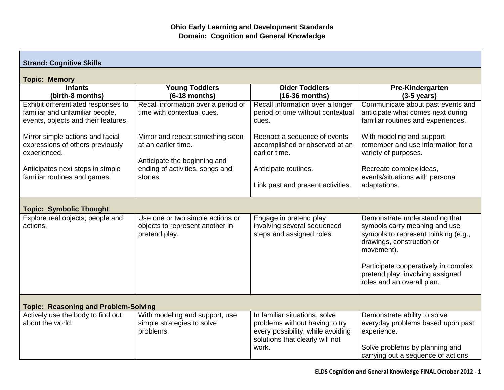| <b>Strand: Cognitive Skills</b>                                                                               |                                                                                      |                                                                                                                                                  |                                                                                                                                                                                                                                                              |  |
|---------------------------------------------------------------------------------------------------------------|--------------------------------------------------------------------------------------|--------------------------------------------------------------------------------------------------------------------------------------------------|--------------------------------------------------------------------------------------------------------------------------------------------------------------------------------------------------------------------------------------------------------------|--|
| <b>Topic: Memory</b>                                                                                          |                                                                                      |                                                                                                                                                  |                                                                                                                                                                                                                                                              |  |
| <b>Infants</b><br>(birth-8 months)                                                                            | <b>Young Toddlers</b><br>$(6-18$ months)                                             | <b>Older Toddlers</b><br>$(16-36$ months)                                                                                                        | Pre-Kindergarten<br>$(3-5 \text{ years})$                                                                                                                                                                                                                    |  |
| Exhibit differentiated responses to<br>familiar and unfamiliar people,<br>events, objects and their features. | Recall information over a period of<br>time with contextual cues.                    | Recall information over a longer<br>period of time without contextual<br>cues.                                                                   | Communicate about past events and<br>anticipate what comes next during<br>familiar routines and experiences.                                                                                                                                                 |  |
| Mirror simple actions and facial<br>expressions of others previously<br>experienced.                          | Mirror and repeat something seen<br>at an earlier time.                              | Reenact a sequence of events<br>accomplished or observed at an<br>earlier time.                                                                  | With modeling and support<br>remember and use information for a<br>variety of purposes.                                                                                                                                                                      |  |
| Anticipates next steps in simple<br>familiar routines and games.                                              | Anticipate the beginning and<br>ending of activities, songs and<br>stories.          | Anticipate routines.<br>Link past and present activities.                                                                                        | Recreate complex ideas,<br>events/situations with personal<br>adaptations.                                                                                                                                                                                   |  |
| <b>Topic: Symbolic Thought</b>                                                                                |                                                                                      |                                                                                                                                                  |                                                                                                                                                                                                                                                              |  |
| Explore real objects, people and<br>actions.                                                                  | Use one or two simple actions or<br>objects to represent another in<br>pretend play. | Engage in pretend play<br>involving several sequenced<br>steps and assigned roles.                                                               | Demonstrate understanding that<br>symbols carry meaning and use<br>symbols to represent thinking (e.g.,<br>drawings, construction or<br>movement).<br>Participate cooperatively in complex<br>pretend play, involving assigned<br>roles and an overall plan. |  |
| <b>Topic: Reasoning and Problem-Solving</b>                                                                   |                                                                                      |                                                                                                                                                  |                                                                                                                                                                                                                                                              |  |
| Actively use the body to find out<br>about the world.                                                         | With modeling and support, use<br>simple strategies to solve<br>problems.            | In familiar situations, solve<br>problems without having to try<br>every possibility, while avoiding<br>solutions that clearly will not<br>work. | Demonstrate ability to solve<br>everyday problems based upon past<br>experience.<br>Solve problems by planning and                                                                                                                                           |  |
|                                                                                                               |                                                                                      |                                                                                                                                                  | carrying out a sequence of actions.                                                                                                                                                                                                                          |  |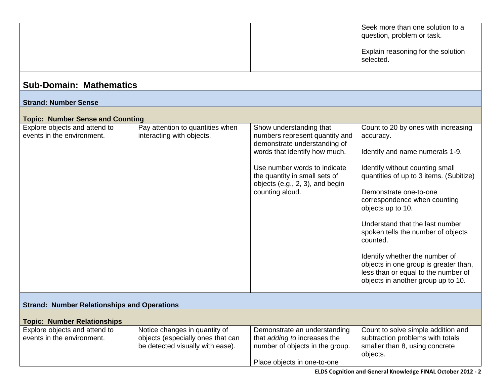| <b>Sub-Domain: Mathematics</b>                              |                                                                                                        |                                                                                                                                                                                                                                                   | Seek more than one solution to a<br>question, problem or task.<br>Explain reasoning for the solution<br>selected.                                                                                                                                                                                                                                                                                                                                                                             |
|-------------------------------------------------------------|--------------------------------------------------------------------------------------------------------|---------------------------------------------------------------------------------------------------------------------------------------------------------------------------------------------------------------------------------------------------|-----------------------------------------------------------------------------------------------------------------------------------------------------------------------------------------------------------------------------------------------------------------------------------------------------------------------------------------------------------------------------------------------------------------------------------------------------------------------------------------------|
| <b>Strand: Number Sense</b>                                 |                                                                                                        |                                                                                                                                                                                                                                                   |                                                                                                                                                                                                                                                                                                                                                                                                                                                                                               |
| <b>Topic: Number Sense and Counting</b>                     |                                                                                                        |                                                                                                                                                                                                                                                   |                                                                                                                                                                                                                                                                                                                                                                                                                                                                                               |
| Explore objects and attend to<br>events in the environment. | Pay attention to quantities when<br>interacting with objects.                                          | Show understanding that<br>numbers represent quantity and<br>demonstrate understanding of<br>words that identify how much.<br>Use number words to indicate<br>the quantity in small sets of<br>objects (e.g., 2, 3), and begin<br>counting aloud. | Count to 20 by ones with increasing<br>accuracy.<br>Identify and name numerals 1-9.<br>Identify without counting small<br>quantities of up to 3 items. (Subitize)<br>Demonstrate one-to-one<br>correspondence when counting<br>objects up to 10.<br>Understand that the last number<br>spoken tells the number of objects<br>counted.<br>Identify whether the number of<br>objects in one group is greater than,<br>less than or equal to the number of<br>objects in another group up to 10. |
| <b>Strand: Number Relationships and Operations</b>          |                                                                                                        |                                                                                                                                                                                                                                                   |                                                                                                                                                                                                                                                                                                                                                                                                                                                                                               |
| <b>Topic: Number Relationships</b>                          |                                                                                                        |                                                                                                                                                                                                                                                   |                                                                                                                                                                                                                                                                                                                                                                                                                                                                                               |
| Explore objects and attend to<br>events in the environment. | Notice changes in quantity of<br>objects (especially ones that can<br>be detected visually with ease). | Demonstrate an understanding<br>that adding to increases the<br>number of objects in the group.<br>Place objects in one-to-one                                                                                                                    | Count to solve simple addition and<br>subtraction problems with totals<br>smaller than 8, using concrete<br>objects.                                                                                                                                                                                                                                                                                                                                                                          |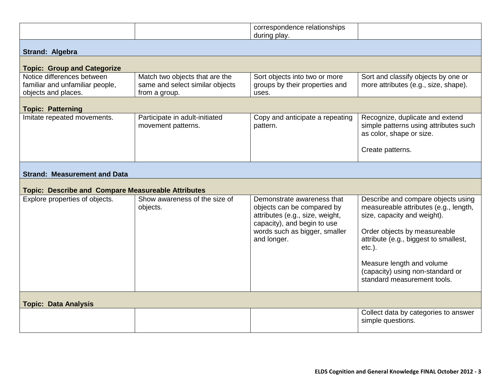|                                                                                      |                                                                                    | correspondence relationships                                                                                                                                               |                                                                                                                                                                                                                                                                                                  |
|--------------------------------------------------------------------------------------|------------------------------------------------------------------------------------|----------------------------------------------------------------------------------------------------------------------------------------------------------------------------|--------------------------------------------------------------------------------------------------------------------------------------------------------------------------------------------------------------------------------------------------------------------------------------------------|
|                                                                                      |                                                                                    | during play.                                                                                                                                                               |                                                                                                                                                                                                                                                                                                  |
| Strand: Algebra                                                                      |                                                                                    |                                                                                                                                                                            |                                                                                                                                                                                                                                                                                                  |
| <b>Topic: Group and Categorize</b>                                                   |                                                                                    |                                                                                                                                                                            |                                                                                                                                                                                                                                                                                                  |
| Notice differences between<br>familiar and unfamiliar people,<br>objects and places. | Match two objects that are the<br>same and select similar objects<br>from a group. | Sort objects into two or more<br>groups by their properties and<br>uses.                                                                                                   | Sort and classify objects by one or<br>more attributes (e.g., size, shape).                                                                                                                                                                                                                      |
| <b>Topic: Patterning</b>                                                             |                                                                                    |                                                                                                                                                                            |                                                                                                                                                                                                                                                                                                  |
| Imitate repeated movements.                                                          | Participate in adult-initiated<br>movement patterns.                               | Copy and anticipate a repeating<br>pattern.                                                                                                                                | Recognize, duplicate and extend<br>simple patterns using attributes such<br>as color, shape or size.                                                                                                                                                                                             |
|                                                                                      |                                                                                    |                                                                                                                                                                            | Create patterns.                                                                                                                                                                                                                                                                                 |
| <b>Strand: Measurement and Data</b>                                                  |                                                                                    |                                                                                                                                                                            |                                                                                                                                                                                                                                                                                                  |
| <b>Topic: Describe and Compare Measureable Attributes</b>                            |                                                                                    |                                                                                                                                                                            |                                                                                                                                                                                                                                                                                                  |
| Explore properties of objects.                                                       | Show awareness of the size of<br>objects.                                          | Demonstrate awareness that<br>objects can be compared by<br>attributes (e.g., size, weight,<br>capacity), and begin to use<br>words such as bigger, smaller<br>and longer. | Describe and compare objects using<br>measureable attributes (e.g., length,<br>size, capacity and weight).<br>Order objects by measureable<br>attribute (e.g., biggest to smallest,<br>$etc.$ ).<br>Measure length and volume<br>(capacity) using non-standard or<br>standard measurement tools. |
| <b>Topic: Data Analysis</b>                                                          |                                                                                    |                                                                                                                                                                            |                                                                                                                                                                                                                                                                                                  |
|                                                                                      |                                                                                    |                                                                                                                                                                            | Collect data by categories to answer<br>simple questions.                                                                                                                                                                                                                                        |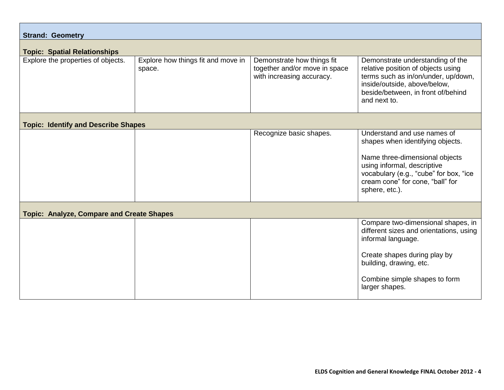| <b>Strand: Geometry</b>                          |                                              |                                                                                          |                                                                                                                                                                                                                                  |
|--------------------------------------------------|----------------------------------------------|------------------------------------------------------------------------------------------|----------------------------------------------------------------------------------------------------------------------------------------------------------------------------------------------------------------------------------|
| <b>Topic: Spatial Relationships</b>              |                                              |                                                                                          |                                                                                                                                                                                                                                  |
| Explore the properties of objects.               | Explore how things fit and move in<br>space. | Demonstrate how things fit<br>together and/or move in space<br>with increasing accuracy. | Demonstrate understanding of the<br>relative position of objects using<br>terms such as in/on/under, up/down,<br>inside/outside, above/below,<br>beside/between, in front of/behind<br>and next to.                              |
| <b>Topic: Identify and Describe Shapes</b>       |                                              |                                                                                          |                                                                                                                                                                                                                                  |
|                                                  |                                              | Recognize basic shapes.                                                                  | Understand and use names of<br>shapes when identifying objects.<br>Name three-dimensional objects<br>using informal, descriptive<br>vocabulary (e.g., "cube" for box, "ice<br>cream cone" for cone, "ball" for<br>sphere, etc.). |
| <b>Topic: Analyze, Compare and Create Shapes</b> |                                              |                                                                                          |                                                                                                                                                                                                                                  |
|                                                  |                                              |                                                                                          | Compare two-dimensional shapes, in<br>different sizes and orientations, using<br>informal language.<br>Create shapes during play by<br>building, drawing, etc.<br>Combine simple shapes to form<br>larger shapes.                |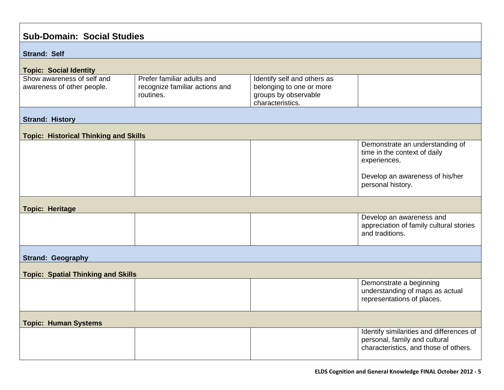| <b>Sub-Domain: Social Studies</b>                        |                                                                           |                                                                                                     |                                                                                                                    |
|----------------------------------------------------------|---------------------------------------------------------------------------|-----------------------------------------------------------------------------------------------------|--------------------------------------------------------------------------------------------------------------------|
| <b>Strand: Self</b>                                      |                                                                           |                                                                                                     |                                                                                                                    |
| <b>Topic: Social Identity</b>                            |                                                                           |                                                                                                     |                                                                                                                    |
| Show awareness of self and<br>awareness of other people. | Prefer familiar adults and<br>recognize familiar actions and<br>routines. | Identify self and others as<br>belonging to one or more<br>groups by observable<br>characteristics. |                                                                                                                    |
| <b>Strand: History</b>                                   |                                                                           |                                                                                                     |                                                                                                                    |
| <b>Topic: Historical Thinking and Skills</b>             |                                                                           |                                                                                                     |                                                                                                                    |
|                                                          |                                                                           |                                                                                                     | Demonstrate an understanding of<br>time in the context of daily<br>experiences.<br>Develop an awareness of his/her |
|                                                          |                                                                           |                                                                                                     | personal history.                                                                                                  |
| <b>Topic: Heritage</b>                                   |                                                                           |                                                                                                     |                                                                                                                    |
|                                                          |                                                                           |                                                                                                     | Develop an awareness and<br>appreciation of family cultural stories<br>and traditions.                             |
| <b>Strand: Geography</b>                                 |                                                                           |                                                                                                     |                                                                                                                    |
| <b>Topic: Spatial Thinking and Skills</b>                |                                                                           |                                                                                                     |                                                                                                                    |
|                                                          |                                                                           |                                                                                                     | Demonstrate a beginning<br>understanding of maps as actual<br>representations of places.                           |
| <b>Topic: Human Systems</b>                              |                                                                           |                                                                                                     |                                                                                                                    |
|                                                          |                                                                           |                                                                                                     | Identify similarities and differences of<br>personal, family and cultural<br>characteristics, and those of others. |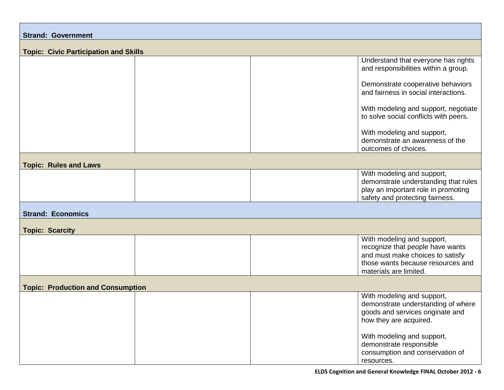| <b>Strand: Government</b>                    |  |  |                                                                                                                                                                   |
|----------------------------------------------|--|--|-------------------------------------------------------------------------------------------------------------------------------------------------------------------|
| <b>Topic: Civic Participation and Skills</b> |  |  |                                                                                                                                                                   |
|                                              |  |  | Understand that everyone has rights<br>and responsibilities within a group.                                                                                       |
|                                              |  |  | Demonstrate cooperative behaviors<br>and fairness in social interactions.                                                                                         |
|                                              |  |  | With modeling and support, negotiate<br>to solve social conflicts with peers.                                                                                     |
|                                              |  |  | With modeling and support,<br>demonstrate an awareness of the<br>outcomes of choices.                                                                             |
| <b>Topic: Rules and Laws</b>                 |  |  |                                                                                                                                                                   |
|                                              |  |  | With modeling and support,<br>demonstrate understanding that rules<br>play an important role in promoting<br>safety and protecting fairness.                      |
| <b>Strand: Economics</b>                     |  |  |                                                                                                                                                                   |
| <b>Topic: Scarcity</b>                       |  |  |                                                                                                                                                                   |
|                                              |  |  | With modeling and support,<br>recognize that people have wants<br>and must make choices to satisfy<br>those wants because resources and<br>materials are limited. |
| <b>Topic: Production and Consumption</b>     |  |  |                                                                                                                                                                   |
|                                              |  |  | With modeling and support,<br>demonstrate understanding of where<br>goods and services originate and<br>how they are acquired.                                    |
|                                              |  |  | With modeling and support,<br>demonstrate responsible<br>consumption and conservation of<br>resources.                                                            |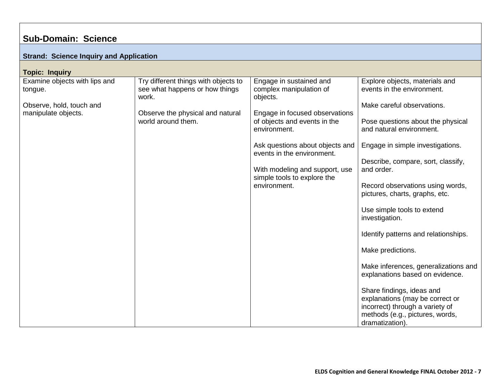## **Sub-Domain: Science**

| <b>Strand: Science Inquiry and Application</b>  |                                                                                 |                                                                |                                                                                                                                                       |
|-------------------------------------------------|---------------------------------------------------------------------------------|----------------------------------------------------------------|-------------------------------------------------------------------------------------------------------------------------------------------------------|
| <b>Topic: Inquiry</b>                           |                                                                                 |                                                                |                                                                                                                                                       |
| Examine objects with lips and<br>tongue.        | Try different things with objects to<br>see what happens or how things<br>work. | Engage in sustained and<br>complex manipulation of<br>objects. | Explore objects, materials and<br>events in the environment.                                                                                          |
| Observe, hold, touch and<br>manipulate objects. | Observe the physical and natural                                                | Engage in focused observations                                 | Make careful observations.                                                                                                                            |
|                                                 | world around them.                                                              | of objects and events in the<br>environment.                   | Pose questions about the physical<br>and natural environment.                                                                                         |
|                                                 |                                                                                 | Ask questions about objects and<br>events in the environment.  | Engage in simple investigations.                                                                                                                      |
|                                                 |                                                                                 | With modeling and support, use<br>simple tools to explore the  | Describe, compare, sort, classify,<br>and order.                                                                                                      |
|                                                 |                                                                                 | environment.                                                   | Record observations using words,<br>pictures, charts, graphs, etc.                                                                                    |
|                                                 |                                                                                 |                                                                | Use simple tools to extend<br>investigation.                                                                                                          |
|                                                 |                                                                                 |                                                                | Identify patterns and relationships.                                                                                                                  |
|                                                 |                                                                                 |                                                                | Make predictions.                                                                                                                                     |
|                                                 |                                                                                 |                                                                | Make inferences, generalizations and<br>explanations based on evidence.                                                                               |
|                                                 |                                                                                 |                                                                | Share findings, ideas and<br>explanations (may be correct or<br>incorrect) through a variety of<br>methods (e.g., pictures, words,<br>dramatization). |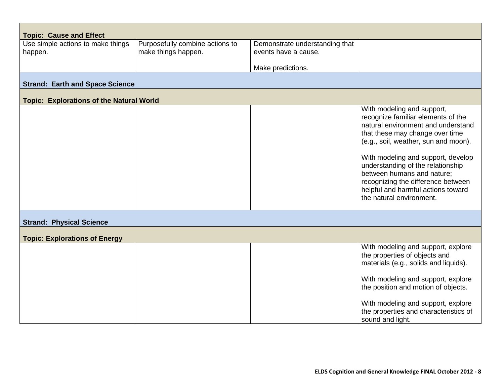| <b>Topic: Cause and Effect</b>                  |                                 |                                |                                                                                                                                                                                                                                                                                                                                                                                                    |
|-------------------------------------------------|---------------------------------|--------------------------------|----------------------------------------------------------------------------------------------------------------------------------------------------------------------------------------------------------------------------------------------------------------------------------------------------------------------------------------------------------------------------------------------------|
| Use simple actions to make things               | Purposefully combine actions to | Demonstrate understanding that |                                                                                                                                                                                                                                                                                                                                                                                                    |
| happen.                                         | make things happen.             | events have a cause.           |                                                                                                                                                                                                                                                                                                                                                                                                    |
|                                                 |                                 | Make predictions.              |                                                                                                                                                                                                                                                                                                                                                                                                    |
| <b>Strand: Earth and Space Science</b>          |                                 |                                |                                                                                                                                                                                                                                                                                                                                                                                                    |
| <b>Topic: Explorations of the Natural World</b> |                                 |                                |                                                                                                                                                                                                                                                                                                                                                                                                    |
|                                                 |                                 |                                | With modeling and support,<br>recognize familiar elements of the<br>natural environment and understand<br>that these may change over time<br>(e.g., soil, weather, sun and moon).<br>With modeling and support, develop<br>understanding of the relationship<br>between humans and nature;<br>recognizing the difference between<br>helpful and harmful actions toward<br>the natural environment. |
| <b>Strand: Physical Science</b>                 |                                 |                                |                                                                                                                                                                                                                                                                                                                                                                                                    |
| <b>Topic: Explorations of Energy</b>            |                                 |                                |                                                                                                                                                                                                                                                                                                                                                                                                    |
|                                                 |                                 |                                | With modeling and support, explore<br>the properties of objects and<br>materials (e.g., solids and liquids).<br>With modeling and support, explore<br>the position and motion of objects.<br>With modeling and support, explore                                                                                                                                                                    |
|                                                 |                                 |                                | the properties and characteristics of<br>sound and light.                                                                                                                                                                                                                                                                                                                                          |